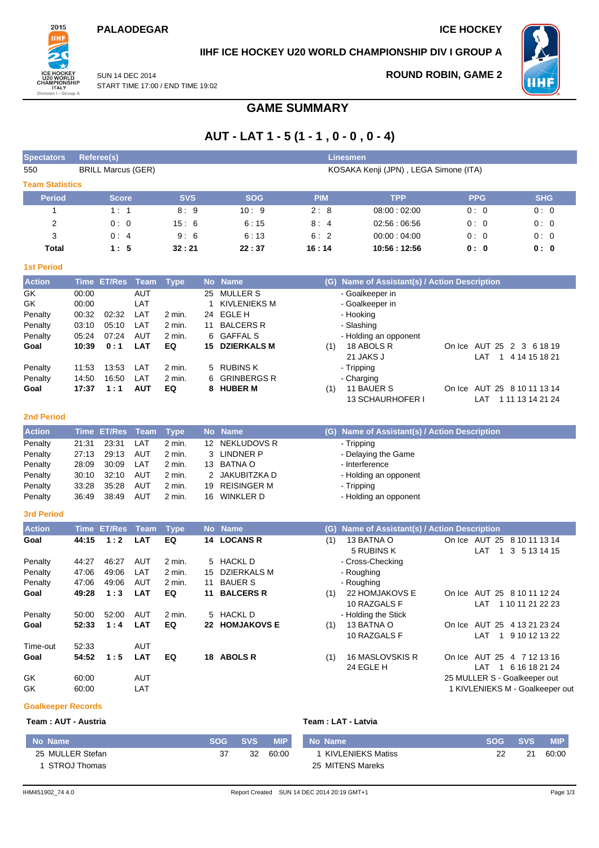### **PALAODEGAR ICE HOCKEY**



## **IIHF ICE HOCKEY U20 WORLD CHAMPIONSHIP DIV I GROUP A**

SUN 14 DEC 2014 START TIME 17:00 / END TIME 19:02 **ROUND ROBIN, GAME 2**



# **GAME SUMMARY**

# **AUT - LAT 1 - 5 (1 - 1 , 0 - 0 , 0 - 4)**

| <b>Spectators</b>      |                | Referee(s)                |             |              |    |                     |            | <b>Linesmen</b>                               |                              |                                 |
|------------------------|----------------|---------------------------|-------------|--------------|----|---------------------|------------|-----------------------------------------------|------------------------------|---------------------------------|
| 550                    |                | <b>BRILL Marcus (GER)</b> |             |              |    |                     |            | KOSAKA Kenji (JPN), LEGA Simone (ITA)         |                              |                                 |
| <b>Team Statistics</b> |                |                           |             |              |    |                     |            |                                               |                              |                                 |
| <b>Period</b>          |                | <b>Score</b>              |             | <b>SVS</b>   |    | <b>SOG</b>          | <b>PIM</b> | <b>TPP</b>                                    | <b>PPG</b>                   | <b>SHG</b>                      |
| 1                      |                | 1:1                       |             | 8:9          |    | 10:9                | 2:8        | 08:00:02:00                                   | 0:0                          | 0:0                             |
| 2                      |                | 0:0                       |             | 15:6         |    | 6:15                | 8:4        | 02:56:06:56                                   | 0:0                          | 0:0                             |
| 3                      |                | 0:4                       |             | 9:6          |    | 6:13                | 6:2        | 00:00:04:00                                   | 0:0                          | 0:0                             |
| <b>Total</b>           |                | 1:5                       |             | 32:21        |    | 22:37               | 16:14      | 10:56:12:56                                   | 0: 0                         | 0:0                             |
| <b>1st Period</b>      |                |                           |             |              |    |                     |            |                                               |                              |                                 |
| <b>Action</b>          | <b>Time</b>    | <b>ET/Res</b>             | Team        | <b>Type</b>  |    | No Name             |            | (G) Name of Assistant(s) / Action Description |                              |                                 |
| GK                     | 00:00          |                           | <b>AUT</b>  |              | 25 | <b>MULLER S</b>     |            | - Goalkeeper in                               |                              |                                 |
| GK                     | 00:00          |                           | LAT         |              | 1  | <b>KIVLENIEKS M</b> |            | - Goalkeeper in                               |                              |                                 |
| Penalty                | 00:32          | 02:32                     | LAT         | 2 min.       | 24 | EGLE H              |            | - Hooking                                     |                              |                                 |
| Penalty                | 03:10          | 05:10                     | LAT         | 2 min.       | 11 | <b>BALCERS R</b>    |            | - Slashing                                    |                              |                                 |
| Penalty                | 05:24          | 07:24                     | <b>AUT</b>  | 2 min.       | 6  | <b>GAFFAL S</b>     |            | - Holding an opponent                         |                              |                                 |
| Goal                   | 10:39          | 0:1                       | <b>LAT</b>  | EQ           | 15 | <b>DZIERKALS M</b>  | (1)        | 18 ABOLS R                                    | On Ice AUT 25 2 3 6 18 19    |                                 |
|                        |                |                           |             |              |    |                     |            | 21 JAKS J                                     | LAT                          | 1 4 14 15 18 21                 |
| Penalty                | 11:53          | 13:53                     | LAT         | 2 min.       | 5  | <b>RUBINS K</b>     |            | - Tripping                                    |                              |                                 |
| Penalty                | 14:50          | 16:50                     | LAT         | 2 min.       | 6  | <b>GRINBERGS R</b>  |            | - Charging                                    |                              |                                 |
| Goal                   | 17:37          | 1:1                       | <b>AUT</b>  | EQ           |    | 8 HUBER M           | (1)        | 11 BAUER S                                    | On Ice AUT 25 8 10 11 13 14  |                                 |
|                        |                |                           |             |              |    |                     |            | <b>13 SCHAURHOFER I</b>                       | LAT                          | 1 11 13 14 21 24                |
|                        |                |                           |             |              |    |                     |            |                                               |                              |                                 |
| <b>2nd Period</b>      |                |                           |             |              |    |                     |            |                                               |                              |                                 |
| <b>Action</b>          | <b>Time</b>    | <b>ET/Res</b>             | <b>Team</b> | <b>Type</b>  |    | No Name             |            | (G) Name of Assistant(s) / Action Description |                              |                                 |
| Penalty                | 21:31          | 23:31                     | LAT         | 2 min.       |    | 12 NEKLUDOVS R      |            | - Tripping                                    |                              |                                 |
| Penalty                | 27:13          | 29:13                     | AUT         | 2 min.       | 3  | LINDNER P           |            | - Delaying the Game                           |                              |                                 |
| Penalty                | 28:09          | 30:09                     | LAT         | 2 min.       |    | 13 BATNA O          |            | - Interference                                |                              |                                 |
| Penalty                | 30:10          | 32:10                     | <b>AUT</b>  | 2 min.       |    | 2 JAKUBITZKA D      |            | - Holding an opponent                         |                              |                                 |
| Penalty                | 33:28          | 35:28                     | AUT         | 2 min.       |    | 19 REISINGER M      |            | - Tripping                                    |                              |                                 |
| Penalty                | 36:49          | 38:49                     | AUT         | 2 min.       |    | 16 WINKLER D        |            | - Holding an opponent                         |                              |                                 |
| 3rd Period             |                |                           |             |              |    |                     |            |                                               |                              |                                 |
|                        |                |                           |             |              |    |                     |            |                                               |                              |                                 |
| <b>Action</b>          | <b>Time</b>    | <b>ET/Res</b>             | <b>Team</b> | <b>Type</b>  |    | No Name             | (G)        | Name of Assistant(s) / Action Description     |                              |                                 |
| Goal                   | 44:15          | 1:2                       | <b>LAT</b>  | EQ           |    | 14 LOCANS R         | (1)        | 13 BATNA O                                    | On Ice AUT 25 8 10 11 13 14  |                                 |
|                        |                |                           |             |              |    |                     |            | 5 RUBINS K                                    | LAT<br>$\mathbf{1}$          | 3 5 13 14 15                    |
| Penalty                | 44:27          | 46:27                     | AUT         | 2 min.       | 5  | <b>HACKL D</b>      |            | - Cross-Checking                              |                              |                                 |
| Penalty                | 47:06          | 49:06                     | LAT         | 2 min.       | 15 | <b>DZIERKALS M</b>  |            | - Roughing                                    |                              |                                 |
| Penalty                | 47:06          | 49:06                     | AUT         | 2 min.       | 11 | <b>BAUER S</b>      |            | - Roughing<br>22 HOMJAKOVS E                  |                              |                                 |
| Goal                   | 49:28          | 1:3                       | <b>LAT</b>  | EQ           | 11 | <b>BALCERS R</b>    | (1)        | 10 RAZGALS F                                  | On Ice AUT 25 8 10 11 12 24  |                                 |
|                        |                |                           | AUT         |              |    | 5 HACKL D           |            |                                               |                              | LAT 1 10 11 21 22 23            |
| Penalty<br>Goal        | 50:00<br>52:33 | 52:00<br>1:4              | <b>LAT</b>  | 2 min.<br>EQ |    | 22 HOMJAKOVS E      |            | - Holding the Stick<br>13 BATNA O             | On Ice AUT 25 4 13 21 23 24  |                                 |
|                        |                |                           |             |              |    |                     | (1)        | 10 RAZGALS F                                  |                              | LAT 1 9 10 12 13 22             |
| Time-out               | 52:33          |                           | AUT         |              |    |                     |            |                                               |                              |                                 |
| Goal                   | 54:52          | 1:5                       | <b>LAT</b>  | EQ           |    | 18 ABOLS R          | (1)        | 16 MASLOVSKIS R                               | On Ice AUT 25 4 7 12 13 16   |                                 |
|                        |                |                           |             |              |    |                     |            | 24 EGLE H                                     |                              | LAT 1 6 16 18 21 24             |
| GK                     | 60:00          |                           | AUT         |              |    |                     |            |                                               | 25 MULLER S - Goalkeeper out |                                 |
| GK                     | 60:00          |                           | LAT         |              |    |                     |            |                                               |                              | 1 KIVLENIEKS M - Goalkeeper out |

#### **Goalkeeper Records**

#### **Team : AUT - Austria Team : LAT - Latvia**

| <b>No Name</b>   | SOG | SVS / | <b>MIP</b> | No Name           | $-SOG$ | <b>SVS</b> | <b>MIP</b> |
|------------------|-----|-------|------------|-------------------|--------|------------|------------|
| 25 MULLER Stefan |     | 32    | 60:00      | KIVLENIEKS Matiss |        | 21         | 60:00      |
| 1 STROJ Thomas   |     |       |            | 25 MITENS Mareks  |        |            |            |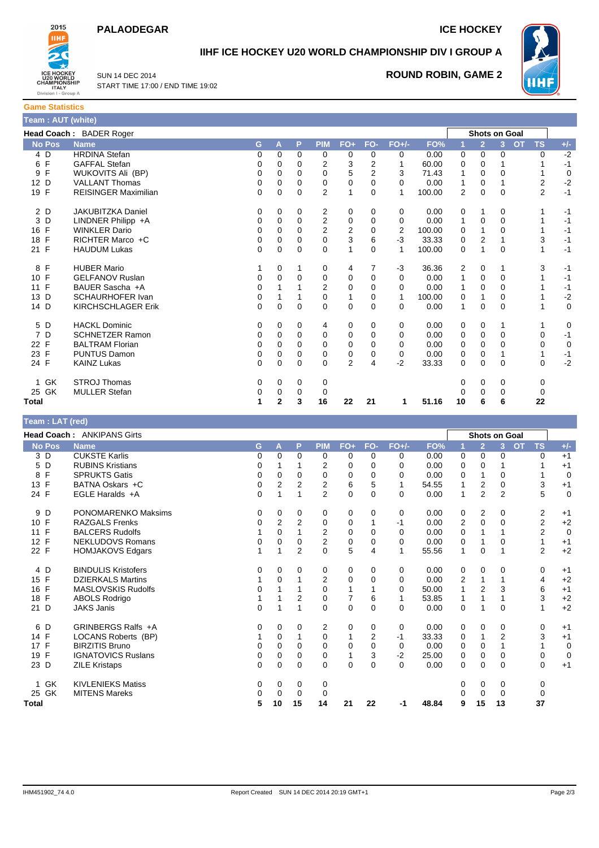### **PALAODEGAR ICE HOCKEY**

WHF



### **IIHF ICE HOCKEY U20 WORLD CHAMPIONSHIP DIV I GROUP A**

SUN 14 DEC 2014 START TIME 17:00 / END TIME 19:02

### **ROUND ROBIN, GAME 2**



| Head Coach: BADER Roger |                             |          |             |          |                |                |          |                |        | <b>Shots on Goal</b> |                |                |                        |             |
|-------------------------|-----------------------------|----------|-------------|----------|----------------|----------------|----------|----------------|--------|----------------------|----------------|----------------|------------------------|-------------|
| <b>No Pos</b>           | <b>Name</b>                 | G        | A           | P        | <b>PIM</b>     | $FO+$          | FO-      | $FO+/-$        | FO%    |                      | $\overline{2}$ | 3 <sup>2</sup> | <b>TS</b><br><b>OT</b> | $+/-$       |
| 4 D                     | <b>HRDINA Stefan</b>        | 0        | 0           | $\Omega$ | 0              | 0              | 0        | 0              | 0.00   | 0                    | 0              | $\Omega$       | $\Omega$               | $-2$        |
| 6 F                     | <b>GAFFAL Stefan</b>        | 0        | $\Omega$    | $\Omega$ | $\overline{2}$ | 3              | 2        | 1              | 60.00  | 0                    | 0              |                |                        | $-1$        |
| F<br>9                  | WUKOVITS Ali (BP)           | 0        | 0           | $\Omega$ | 0              | 5              | 2        | 3              | 71.43  |                      | 0              | 0              |                        | 0           |
| 12 D                    | <b>VALLANT Thomas</b>       | 0        | 0           | $\Omega$ | 0              | 0              | $\Omega$ | 0              | 0.00   |                      | 0              |                | $\mathbf 2$            | $-2$        |
| 19 F                    | <b>REISINGER Maximilian</b> | 0        | 0           | 0        | $\overline{2}$ | $\mathbf{1}$   | 0        | 1              | 100.00 | $\overline{2}$       | 0              | 0              | $\overline{2}$         | $-1$        |
| 2 D                     | <b>JAKUBITZKA Daniel</b>    | 0        | 0           | 0        | $\overline{c}$ | 0              | 0        | 0              | 0.00   | 0                    |                | 0              |                        | $-1$        |
| 3 D                     | LINDNER Philipp +A          | 0        | 0           | 0        | $\overline{2}$ | 0              | 0        | 0              | 0.00   |                      | 0              | $\Omega$       |                        | $-1$        |
| 16 F                    | <b>WINKLER Dario</b>        | 0        | $\Omega$    | 0        | $\overline{c}$ | $\overline{c}$ | 0        | $\overline{2}$ | 100.00 | $\Omega$             |                | 0              |                        | $-1$        |
| 18 F                    | RICHTER Marco +C            | 0        | 0           | 0        | $\mathbf 0$    | 3              | 6        | $-3$           | 33.33  | 0                    | 2              |                | 3                      | $-1$        |
| 21 F                    | <b>HAUDUM Lukas</b>         | 0        | 0           | $\Omega$ | $\Omega$       | 1              | 0        | 1              | 100.00 | $\Omega$             |                | $\Omega$       |                        | $-1$        |
| 8 F                     | <b>HUBER Mario</b>          |          | 0           |          | 0              | 4              | 7        | $-3$           | 36.36  | 2                    | 0              |                | 3                      | $-1$        |
| F<br>10 <sup>°</sup>    | <b>GELFANOV Ruslan</b>      | 0        | 0           | 0        | 0              | 0              | 0        | 0              | 0.00   |                      | 0              | 0              |                        | -1          |
| 11 F                    | BAUER Sascha +A             | 0        |             |          | $\overline{2}$ | 0              | 0        | 0              | 0.00   |                      | 0              | 0              |                        | $-1$        |
| D<br>13                 | SCHAURHOFER Ivan            | 0        |             |          | 0              | 1              | 0        | 1              | 100.00 | 0                    | 1              | $\Omega$       |                        | $-2$        |
| 14 D                    | <b>KIRCHSCHLAGER Erik</b>   | $\Omega$ | $\Omega$    | $\Omega$ | $\Omega$       | $\mathbf 0$    | $\Omega$ | 0              | 0.00   | 1                    | 0              | $\Omega$       | 1                      | $\mathbf 0$ |
| 5 D                     | <b>HACKL Dominic</b>        | 0        | $\Omega$    | 0        | 4              | 0              | 0        | 0              | 0.00   | 0                    | 0              |                | 1                      | 0           |
| 7<br>D                  | <b>SCHNETZER Ramon</b>      | 0        | 0           | $\Omega$ | 0              | 0              | 0        | 0              | 0.00   | 0                    | 0              | $\Omega$       | 0                      | $-1$        |
| 22 F                    | <b>BALTRAM Florian</b>      | 0        | $\Omega$    | $\Omega$ | $\Omega$       | $\Omega$       | $\Omega$ | 0              | 0.00   | 0                    | 0              | $\Omega$       | $\Omega$               | 0           |
| 23 F                    | <b>PUNTUS Damon</b>         | 0        | 0           | 0        | 0              | 0              | 0        | 0              | 0.00   | 0                    | 0              |                | 1                      | $-1$        |
| 24 F                    | <b>KAINZ Lukas</b>          | 0        | $\mathbf 0$ | $\Omega$ | 0              | $\overline{2}$ | 4        | $-2$           | 33.33  | 0                    | 0              | $\Omega$       | 0                      | $-2$        |
| 1 GK                    | <b>STROJ Thomas</b>         | 0        | 0           | 0        | 0              |                |          |                |        | 0                    | 0              | 0              | 0                      |             |
| 25 GK                   | <b>MULLER Stefan</b>        | 0        | 0           | 0        | 0              |                |          |                |        | 0                    | 0              | 0              | 0                      |             |
| <b>Total</b>            |                             | 1        | 2           | 3        | 16             | 22             | 21       | 1              | 51.16  | 10                   | 6              | 6              | 22                     |             |

#### **Team : LAT (red) Head Coach :** ANKIPANS Girts **Shots on Goal**<br> **Shots on Goal**<br> **Shots on Goal**<br> **Shots on Goal**<br> **Shots on Goal No Pos Name G A P PIM FO+ FO- FO+/- FO% 1 2 3 OT TS +/-** 3 D CUKSTE Karlis 0 0 0 0 0 0 0 0.00 0 0 0 0 +1 5 D RUBINS Kristians 0 1 1 2 0 0 0 0.00 0 0 1 1 +1 SPRUKTS Gatis 6 0 0 0 0 0 0 0 0 0 0 0 0 0 0 0 0 1 0 0 1 0 0 1 0 0 1 0 0 1 0 0 1 0 0 1 0 0 1 0 0 1 0 0 1 0 0 1 0 13 F BATNA Oskars +C 0 2 2 2 6 5 1 54.55 1 2 0 3 +1 24 F EGLE Haralds +A 0 1 1 2 0 0 0 0.00 1 2 2 5 0 9 D PONOMARENKO Maksims <br>
10 F RAZGALS Frenks <br>
10 F RAZGALS Frenks <br>
2 2 0 0 1 -1 0.00 2 0 0 2 +2 10 F RAZGALS Frenks 0 2 2 0 0 1 -1 0.00 2 0 0 2 +2 11 F BALCERS Rudolfs 1 0 1 2 0 0 0 0.00 0 1 1 2 0 12 F NEKLUDOVS Romans 0 0 0 0 2 0 0 0 0 0 0 0 1 0 1 +1<br>22 F HOMJAKOVS Edgars 1 1 2 0 5 4 1 55.56 1 0 1 2 +2 HOMJAKOVS Edgars 1 1 1 2 0 5 4 1 55.56 1 0 1 4 D BINDULIS Kristofers 0 0 0 0 0 0 0 0.00 0 0 0 0 +1 15 F DZIERKALS Martins 1 0 1 2 0 0 0 0.00 2 1 1 4 +2<br>16 F MASLOVSKIS Rudolfs 1 0 1 1 0 1 1 0 1 0 50.00 1 2 3 6 +1 16 F MASLOVSKIS Rudolfs 0 1 1 0 1 1 0 50.00 1 2 3 6 +1 18 F ABOLS Rodrigo 1 1 1 2 0 7 6 1 53.85 1 1 1 3 +2<br>21 D JAKS Janis 20 1 1 0 0 0 0 0 0 0 0 1 0 1 +2 21 D JAKS Janis 0 1 1 0 0 0 0 0.00 0 1 0 1 +2 0 6 D GRINBERGS Ralfs +A 0 0 0 0 2 0 0 0 0 0 0 0 0 0 0 0 0 0 +1<br>14 F LOCANS Roberts (BP) 1 0 1 0 1 2 -1 33.33 0 1 2 3 +1 14 F LOCANS Roberts (BP) 1 0 1 0 1 2 -1 33.33 0 1 2 3 +1<br>17 F BIRZITIS Bruno 1 0 0 0 0 0 0 0 0 0 0 0 0 1 1 0 17 F BIRZITIS Bruno 0 0 0 0 0 0 0 0.00 0 0 1 1 0 19 F IGNATOVICS Ruslans<br>
23 D ZILE Kristaps<br>
23 D ZILE Kristaps<br>
23 D ZILE Kristaps 23 D ZILE Kristaps 0 0 0 0 0 0 0 0.00 0 0 0 0 +1 1 GK KIVLENIEKS Matiss 0 0 0 0 0 0 0 0 25 GK MITENS Mareks 0 0 0 0 0 0 0 0 **Total 5 10 15 14 21 22 -1 48.84 9 15 13 37**